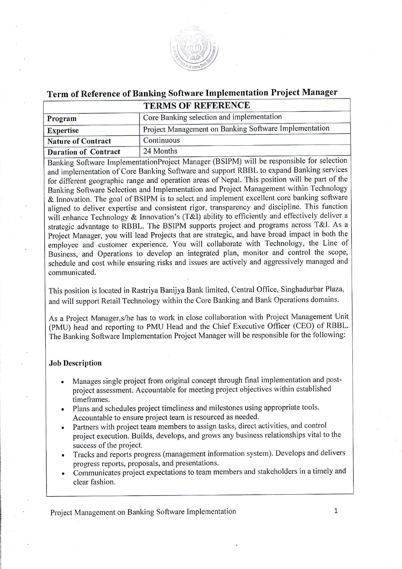

# Term of Reference of Banking Software Implementation Project Manager **TERMS OF REFERENCE**

| Program                     | Core Banking selection and implementation             |
|-----------------------------|-------------------------------------------------------|
| <b>Expertise</b>            | Project Management on Banking Software Implementation |
| <b>Nature of Contract</b>   | Continuous                                            |
| <b>Duration of Contract</b> | 24 Months                                             |

Banking Software ImplementationProject Manager (BSIPM) will be responsible for selection and implementation of Core Banking Software and support RBBL to expand Banking services for different geographic range and operation areas of Nepal. This position will be part of the Banking Software Selection and Implementation and Project Management within Technology & Innovation. The goal of BSIPM is to select and implement excellent core banking software aligned to deliver expertise and consistent rigor, transparency and discipline. This function will enhance Technology & Innovation's (T&I) ability to efficiently and effectively deliver a strategic advantage to RBBL. The BSIPM supports project and programs across T&I. As a Project Manager, you will lead Projects that are strategic, and have broad impact in both the employee and customer experience. You will collaborate with Technology, the Line of Business, and Operations to develop an integrated plan, monitor and control the scope, schedule and cost while ensuring risks and issues are actively and aggressively managed and communicated.

This position is located in Rastriya Banijya Bank limited, Central Office, Singhadurbar Plaza, and will support Retail Technology within the Core Banking and Bank Operations domains.

As a Project Manager, s/he has to work in close collaboration with Project Management Unit (PMU) head and reporting to PMU Head and the Chief Executive Officer (CEO) of RBBL. The Banking Software Implementation Project Manager will be responsible for the following:

#### **Job Description**

- Manages single project from original concept through final implementation and postproject assessment. Accountable for meeting project objectives within established timeframes.
- Plans and schedules project timeliness and milestones using appropriate tools. Accountable to ensure project team is resourced as needed.
- Partners with project team members to assign tasks, direct activities, and control project execution. Builds, develops, and grows any business relationships vital to the success of the project.
- Tracks and reports progress (management information system). Develops and delivers progress reports, proposals, and presentations.
- Communicates project expectations to team members and stakeholders in a timely and clear fashion.

Project Management on Banking Software Implementation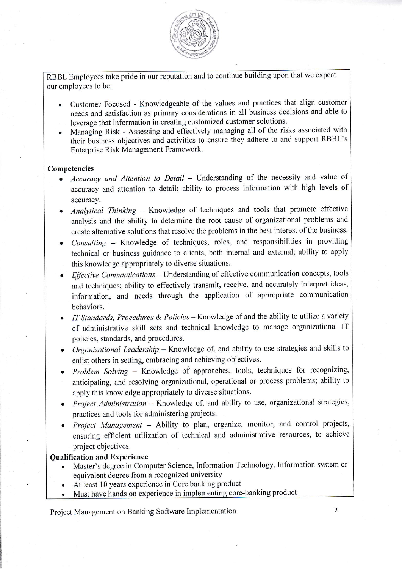

RBBL Employees take pride in our reputation and to continue building upon that we expect our employees to be:

- . Customer Focused Knowledgeable of the values and practices that align customer needs and satisfaction as primary considerations in all business decisions and able to leverage that information in creating customized customer solutions'
- . Managing Risk Assessing and effectively managing all of the risks associated with their business objectives and activities to ensure they adhere to and support RBBL's Enterprise Risk Management Framework.

### Competencies

- Accuracy and Attention to Detail Understanding of the necessity and value of accuracy and attention to detail; ability to process information with high levels of accuracy.
- Analytical Thinking  $-$  Knowledge of techniques and tools that promote effective analysis and the abitity to determine the root cause of organizational problems and create alternative solutions that resolve the problems in the best interest of the business.
- Consulting Knowledge of techniques, roles, and responsibilities in providing technical or business guidance to clients, both internal and external; ability to apply this knowledge appropriately to diverse situations.
- $\bullet$  *Effective Communications* Understanding of effective communication concepts, tools and techniques; ability to effectively transmit, receive, and accurately interpret ideas, information, and needs through the application of appropriate communication behaviors.
- IT Standards, Procedures & Policies  $-$  Knowledge of and the ability to utilize a variety of administrative skill sets and technical knowledge to manage organizational IT policies, standards, and procedures.
- Organizational Leadership Knowledge of, and ability to use strategies and skills to enlist others in setting, embracing and achieving objectives.
- $\bullet$  Problem Solving Knowledge of approaches, tools, techniques for recognizing, anticipating, and resolving organizational, operational or process problems; ability to apply this knowledge appropriately to diverse situations.
- Project Administration  $-$  Knowledge of, and ability to use, organizational strategies, practices and tools for administering projects.
- Project Management Ability to plan, organize, monitor, and control projects, ensuring efficient utilization of technical and administrative resources, to achieve project objectives.

#### **Oualification and Experience**

- . Master's degree in Computer Science, Information Technology, Information system or equivalent degree from a recognized university
- . At least l0 years experience in Core banking product
- Must have hands on experience in implementing core-banking product

Project Management on Banking Software Implementation